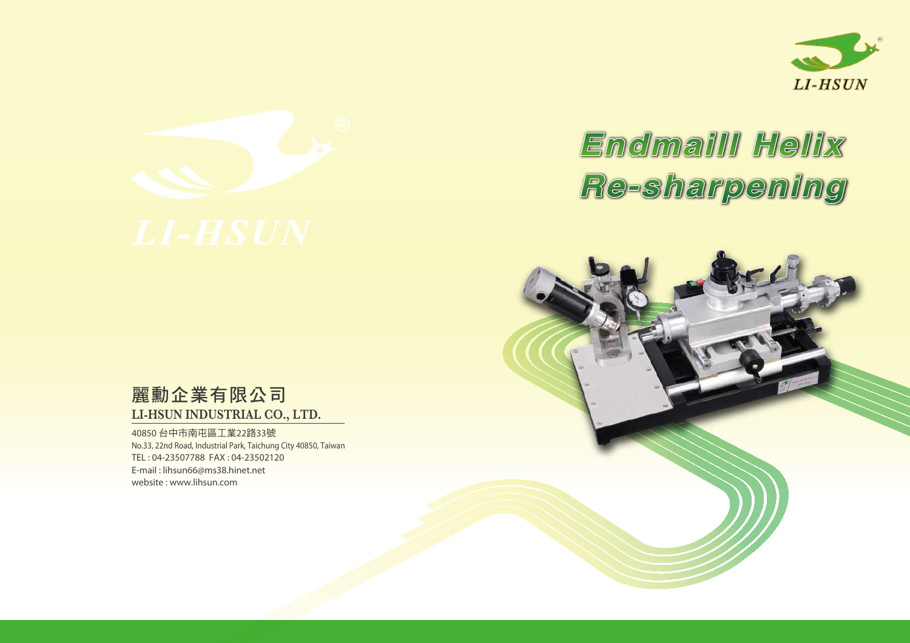



## 麗勳企業有限公司 **LI-HSUN INDUSTRIAL CO., LTD.**

40850 台中市南屯區工業22路33號 No.33, 22nd Road, Industrial Park, Taichung City 40850, Taiwan TEL : 04-23507788 FAX : 04-23502120 E-mail : lihsun66@ms38.hinet.net website : www.lihsun.com



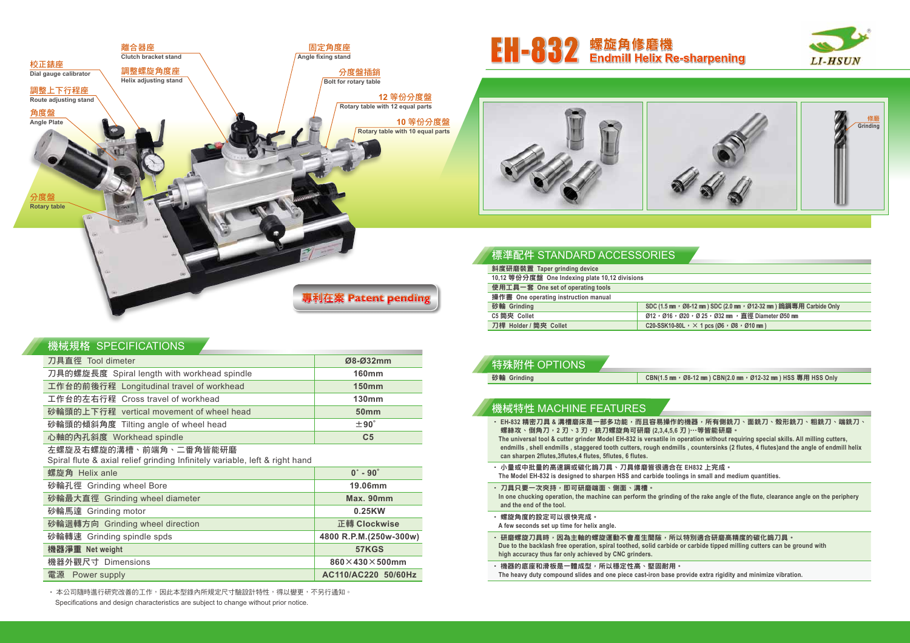#### 機械規格 SPECIFICATIONS

| 刀具直徑 Tool dimeter                           | Ø8-Ø32mm       |
|---------------------------------------------|----------------|
| 刀具的螺旋長度 Spiral length with workhead spindle | <b>160mm</b>   |
| 工作台的前後行程 Longitudinal travel of workhead    | <b>150mm</b>   |
| 工作台的左右行程 Cross travel of workhead           | <b>130mm</b>   |
| 砂輪頭的上下行程 vertical movement of wheel head    | <b>50mm</b>    |
| 砂輪頭的傾斜角度 Tilting angle of wheel head        | $±90^\circ$    |
| 心軸的內孔斜度 Workhead spindle                    | C <sub>5</sub> |

#### 左螺旋及右螺旋的溝槽、前端角、二番角皆能研磨

Spiral flute & axial relief grinding Infinitely variable, left & right hand

• 本公司隨時進行研究改善的工作,因此本型錄內所規定尺寸驗設計特性,得以變更,不另行通知。 Specifications and design characteristics are subject to change without prior notice.

| 螺旋角 Helix anle                  | $0^\circ$ - $90^\circ$ |
|---------------------------------|------------------------|
| 砂輪孔徑 Grinding wheel Bore        | 19.06mm                |
| 砂輪最大直徑 Grinding wheel diameter  | Max. 90mm              |
| 砂輪馬達 Grinding motor             | 0.25KW                 |
| 砂輪迴轉方向 Grinding wheel direction | 正轉 Clockwise           |
| 砂輪轉速 Grinding spindle spds      | 4800 R.P.M.(250w-300w) |
| 機器淨重 Net weight                 | 57KGS                  |
| 機器外觀尺寸 Dimensions               | 860×430×500mm          |
| 電源 Power supply                 | AC110/AC220 50/60Hz    |

#### 標準配件 STANDARD ACCESSORIES

| 斜度研磨裝置 Taper grinding device                   |                                        |
|------------------------------------------------|----------------------------------------|
| 10,12 等份分度盤 One Indexing plate 10,12 divisions |                                        |
| 使用工具一套 One set of operating tools              |                                        |
| 操作書 One operating instruction manual           |                                        |
| 砂輪 Grinding                                    | SDC $(1.5 \text{ mm} \cdot \emptyset)$ |
| C5 筒夾 Collet                                   | $Ø12 \cdot Ø16 \cdot Ø20$              |
| 刀桿 Holder / 筒夾 Collet                          | C20-SSK10-80L                          |
|                                                |                                        |



#### $-5$  mm,  $\cdot$  Ø8-12 mm) CBN(2.0 mm,  $\cdot$  Ø12-32 mm) HSS 專用 HSS Only

| 特殊附件 OPTIONS |        |
|--------------|--------|
| 砂輪 Grinding  | CBN(1) |
|              |        |

#### 機械特性 MACHINE FEATURES

- ‧ **EH-832** 精密刀具 **&** 溝槽磨床是一部多功能,而且容易操作的機器,所有側銑刀、面銑刀、殼形銑刀、粗銑刀、端銑刀、 螺絲攻、倒角刀,2 刃、3 刃,銑刀螺旋角可研磨 (2,3,4,5,6 刃 )…等皆能研磨。 The universal tool & cutter grinder Model EH-832 is versatile in operation without requiring special skills. All milling cutters, endmills, shell endmills, staggered tooth cutters, rough endmills, countersinks (2 flutes, 4 flutes) and the angle of endmill helix **can sharpen 2flutes,3flutes,4 flutes, 5flutes, 6 flutes.**
- ‧ 小量或中批量的高速鋼或碳化鎢刀具、刀具修磨皆很適合在 **EH832** 上完成。 **The Model EH-832 is designed to sharpen HSS and carbide toolings in small and medium quantities.**
- 刀具只要一次夾持,即可研磨端面、側面、溝槽。 In one chucking operation, the machine can perform the grinding of the rake angle of the flute, clearance angle on the periphery **and the end of the tool.**
- ‧ 螺旋角度的設定可以很快完成。 **A few seconds set up time for helix angle.**
- ・研磨螺旋刀具時,因為主軸的螺旋運動不會產生間隙,所以特別適合研磨高精度的碳化鎢刀具。 Due to the backlash free operation, spiral toothed, solid carbide or carbide tipped milling cutters can be ground with **high accuracy thus far only achieved by CNC grinders.**
- ‧ 機器的底座和滑板是一體成型,所以穩定性高、堅固耐用。 **The heavy duty compound slides and one piece cast-iron base provide extra rigidity and minimize vibration.**







## EH-832 螺旋角修磨機 **Endmill Helix Re-sharpening**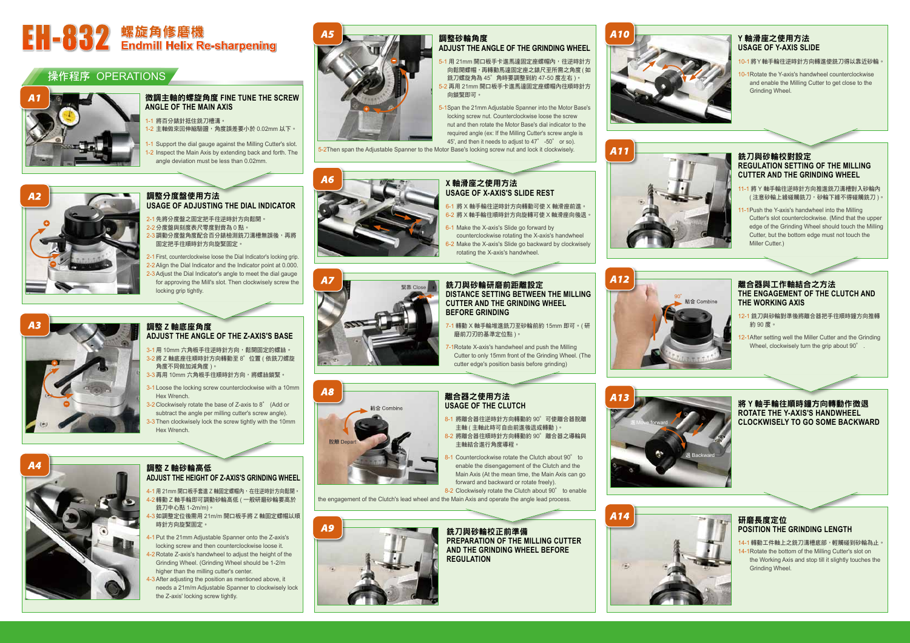# **EH-832** 螺旋角修磨機<br>■EH-032 Endmill Helix Re-sharpening

#### 操作程序 OPERATIONS



#### 微調主軸的螺旋角度 **FINE TUNE THE SCREW ANGLE OF THE MAIN AXIS**

- 1 將百分錶針抵住銑刀槽溝。
- 1-2 主軸做來回伸縮驗證,角度誤差要小於 0.02mm 以下。
- 1-1 Support the dial gauge against the Milling Cutter's slot.
- 1-2 Inspect the Main Axis by extending back and forth. The angle deviation must be less than 0.02mm.



#### 調整分度盤使用方法 **USAGE OF ADJUSTING THE DIAL INDICATOR**

- 2-1 先將分度盤之固定把手往逆時針方向鬆開。 2-2 分度盤與刻度表尺零度對齊為 0 點。
- 3調動分度盤角度配合百分錶檢測銑刀溝槽無誤後,再將 固定把手往順時針方向旋緊固定。
- 2-1 First, counterclockwise loose the Dial Indicator's locking grip.
- 2-2 Align the Dial Indicator and the Indicator point at 0.000.
- 2-3 Adjust the Dial Indicator's angle to meet the dial gauge for approving the Mill's slot. Then clockwisely screw the locking grip tightly.

#### 調整 **Z** 軸底座角度 **ADJUST THE ANGLE OF THE Z-AXIS'S BASE**

- 4-1 用 21mm 開口板手套進 Z 軸固定螺帽內, 在往逆時針方向鬆開。 4-2 轉動 Z 軸手輪即可調動砂輪高低 ( 一般研磨砂輪要高於 銑刀中心點 1-2m/m)。
- 。<br>3 如調整定位後需用 21m/m 開口板手將 Z 軸固定螺帽以順 時針方向旋緊固定。
- 4-1 Put the 21mm Adjustable Spanner onto the Z-axis's locking screw and then counterclockwise loose it.
- 4-2 Rotate Z-axis's handwheel to adjust the height of the Grinding Wheel. (Grinding Wheel should be 1-2/m higher than the milling cutter's center.
- 4-3 After adjusting the position as mentioned above, it needs a 21m/m Adjustable Spanner to clockwisely lock the Z-axis' locking screw tightly.
- 3-1 用 10mm 六角板手往逆時針方向,鬆開固定的螺絲。 3-2 將 Z 軸底座往順時針方向轉動至 8°位置 ( 依銑刀螺旋
- 角度不同做加減角度 )。 3-3 再用 10mm 六角板手往順時針方向,將螺絲鎖緊。
- 3-1 Loose the locking screw counterclockwise with a 10mm Hex Wrench.
- 3-2 Clockwisely rotate the base of Z-axis to 8° (Add or subtract the angle per milling cutter's screw angle).
- 3-3 Then clockwisely lock the screw tightly with the 10mm Hex Wrench.



- 5-1 用 21mm 開口板手卡進馬達固定座螺帽內,往逆時針方 向鬆開螺帽,再轉動馬達固定座之錶尺至所需之角度 (如 銑刀螺旋角為 45°角時要調整到約 47-50 度左右 )。 5-2 再用 21mm 開口板手卡進馬達固定座螺帽內往順時針方
- 向鎖緊即可。
- 5-1Span the 21mm Adjustable Spanner into the Motor Base's locking screw nut. Counterclockwise loose the screw nut and then rotate the Motor Base's dial indicator to the required angle (ex: If the Milling Cutter's screw angle is 45', and then it needs to adjust to 47° -50° or so).

#### 調整 **Z** 軸砂輪高低 **ADJUST THE HEIGHT OF Z-AXIS'S GRINDING WHEEL**

- -1 Make the X-axis's Slide go forward by counterclockwise rotating the X-axis's handwheel
- 2 Make the X-axis's Slide go backward by clockwisely rotating the X-axis's handwheel.

### 調整砂輪角度

#### **ADJUST THE ANGLE OF THE GRINDING WHEEL**

- 12-1 銑刀與砂輪對準後將離合器把手往順時鐘方向推轉 約 90 度。
- 12-1After setting well the Miller Cutter and the Grinding Wheel, clockwisely turn the grip about 90°

5-2Then span the Adjustable Spanner to the Motor Base's locking screw nut and lock it clockwisely.







**X** 軸滑座之使用方法

**USAGE OF X-AXIS'S SLIDE REST**

#### 6-1 將 X 軸手輪往逆時針方向轉動可使 X 軸滑座前進。 6-2 將 X 軸手輪往順時針方向旋轉可使 X 軸滑座向後退。

#### 銑刀與砂輪研磨前距離設定 **DISTANCE SETTING BETWEEN THE MILLING CUTTER AND THE GRINDING WHEEL BEFORE GRINDING**

- 7-1 轉動 X 軸手輪堆進銑刀至砂輪前約 15mm 即可。( 研 磨前刀刃的基準定位點 )。
- 1Rotate X-axis's handwheel and push the Milling Cutter to only 15mm front of the Grinding Wheel. (The cutter edge's position basis before grinding)

#### 離合器之使用方法 **USAGE OF THE CLUTCH**

- 8-1 將離合器往逆時針方向轉動約 90°可使離合器脫離 主軸 ( 主軸此時可自由前進後退或轉動 )。
- 8-2 將離合器往順時針方向轉動約 90°離合器之導輪與 主軸結合進行角度導程。
- 8-1 Counterclockwise rotate the Clutch about 90° to enable the disengagement of the Clutch and the Main Axis (At the mean time, the Main Axis can go forward and backward or rotate freely).

8-2 Clockwisely rotate the Clutch about 90° to enable the engagement of the Clutch's lead wheel and the Main Axis and operate the angle lead process.



銑刀與砂輪校正前準備 **PREPARATION OF THE MILLING CUTTER AND THE GRINDING WHEEL BEFORE REGULATION**



#### **Y** 軸滑座之使用方法 **USAGE OF Y-AXIS SLIDE**

10-1將Y軸手輪往逆時針方向轉進使銑刀得以靠近砂輪。

10-1Rotate the Y-axis's handwheel counterclockwise and enable the Milling Cutter to get close to the Grinding Wheel.



#### 銑刀與砂輪校對設定 **REGULATION SETTING OF THE MILLING CUTTER AND THE GRINDING WHEEL**

11-1 將 Y 軸手輪往逆時針方向推進銑刀溝槽對入砂輪內 ( 注意砂輪上緣碰觸銑刀,砂輪下緣不得碰觸銑刀 )。

11-1Push the Y-axis's handwheel into the Milling Cutter's slot counterclockwise. (Mind that the upper edge of the Grinding Wheel should touch the Milling Cutter, but the bottom edge must not touch the Miller Cutter.)



#### 離合器與工作軸結合之方法 **THE ENGAGEMENT OF THE CLUTCH AND THE WORKING AXIS**

將 **Y** 軸手輪往順時鐘方向轉動作微退 **ROTATE THE Y-AXIS'S HANDWHEEL CLOCKWISELY TO GO SOME BACKWARD**



#### 研磨長度定位 **POSITION THE GRINDING LENGTH**

14-1 轉動工件軸上之銑刀溝槽底部,輕觸碰到砂輪為止。 14-1Rotate the bottom of the Milling Cutter's slot on the Working Axis and stop till it slightly touches the Grinding Wheel.









進Move forward





**A6**